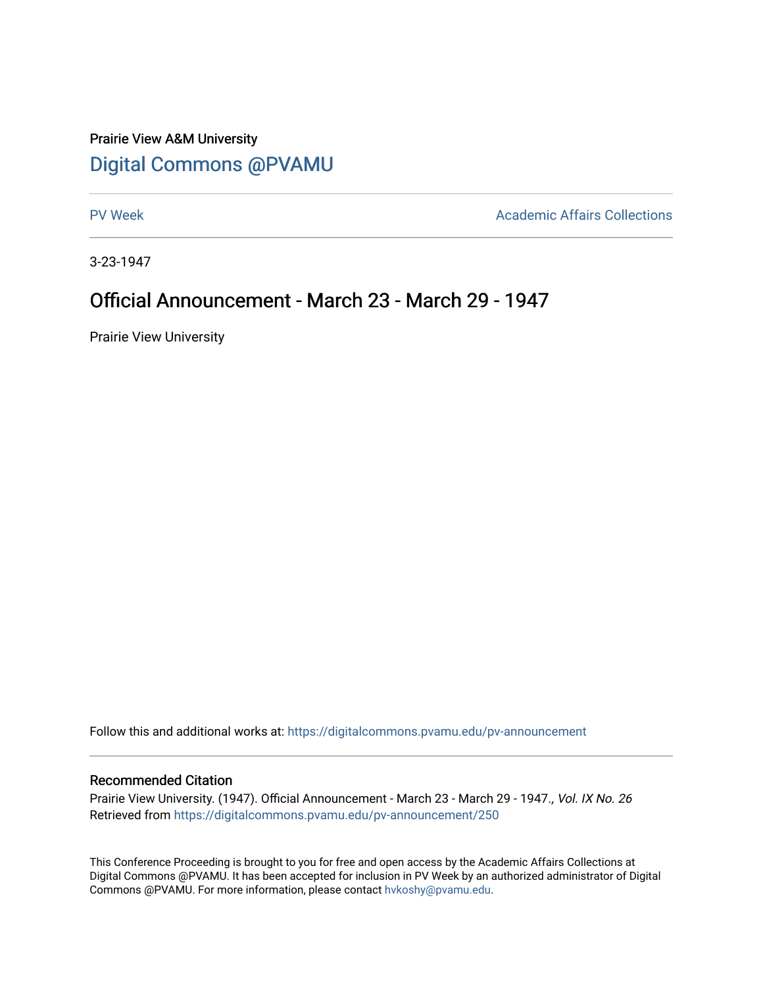# Prairie View A&M University [Digital Commons @PVAMU](https://digitalcommons.pvamu.edu/)

[PV Week](https://digitalcommons.pvamu.edu/pv-announcement) **Academic Affairs Collections** 

3-23-1947

# Official Announcement - March 23 - March 29 - 1947

Prairie View University

Follow this and additional works at: [https://digitalcommons.pvamu.edu/pv-announcement](https://digitalcommons.pvamu.edu/pv-announcement?utm_source=digitalcommons.pvamu.edu%2Fpv-announcement%2F250&utm_medium=PDF&utm_campaign=PDFCoverPages) 

### Recommended Citation

Prairie View University. (1947). Official Announcement - March 23 - March 29 - 1947., Vol. IX No. 26 Retrieved from [https://digitalcommons.pvamu.edu/pv-announcement/250](https://digitalcommons.pvamu.edu/pv-announcement/250?utm_source=digitalcommons.pvamu.edu%2Fpv-announcement%2F250&utm_medium=PDF&utm_campaign=PDFCoverPages) 

This Conference Proceeding is brought to you for free and open access by the Academic Affairs Collections at Digital Commons @PVAMU. It has been accepted for inclusion in PV Week by an authorized administrator of Digital Commons @PVAMU. For more information, please contact [hvkoshy@pvamu.edu.](mailto:hvkoshy@pvamu.edu)